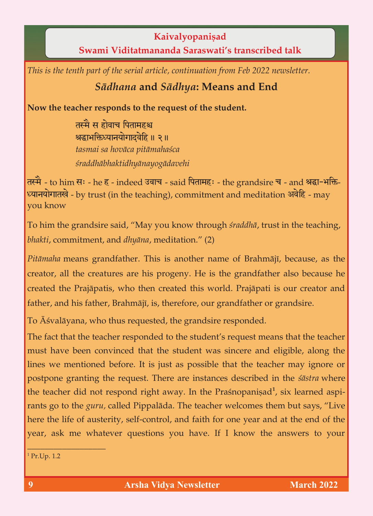**Kaivalyopaniṣad**<br>**Kaivalyopaniṣad Saraswati's transcribed talk Swami Viditatmananda Saraswati's transcribed talk**

*This is the tenth part of the serial article, continuation from Feb 2022 newsletter.*

## *Sädhana* **and** *Sädhya***: Means and End**

**Now the teacher responds to the request of the student.**

तस्मै स होवाच पितामहश्च श्रद्धाभक्तिध्यानयोगाटवेहि ॥ २ ॥ *tasmai sa hoväca pitämahaçca çraddhäbhaktidhyänayogädavehi*

तस्मै - to him सः - he ह - indeed उवाच - said पितामहः - the grandsire च - and श्रद्धा-भक्ति-ध्यानयोगातखे - by trust (in the teaching), commitment and meditation अवेहि - may<br>vou know you know

To him the grandsire said, "May you know through *śraddhā*, trust in the teaching, *bhakti*, commitment, and *dhyāna*, meditation." (2) *bhakti*, commitment, and *dhyäna*, meditation." (2)

*Pitāmaha* means grandfather. This is another name of Brahmājī, because, as the creator, all the creatures are his progeny. He is the grandfather also because he created the Prajāpatis, who then created this world. Prajāpati is our creator and created the Prajäpatis, who then created this world. Prajäpati is our creator and father, and his father,  $\frac{1}{2}$ , therefore, our grandsire, our grandsire.

To Äçvaläyana, who thus requested, the grandsire responded.

The fact that the teacher responded to the student's request means that the teacher must have been convinced that the student was sincere and eligible, along the lines we mentioned before. It is just as possible that the teacher may ignore or postpone granting the request. There are instances described in the *sāstra* where postpone granting the request. There are instances described in the *çästra* where the teacher did not respond right away. In the Prashopanisad<br>11 and 11 and 12 and 12 and 12 and 12 and 12 and 12 and 12 and 12 and 12 and 12 and 12 and 12 and 12 and 12 and 1 rants go to the *guru*, called Pippalāda. The teacher welcomes them but says, "Live here the life of austerity, self-control, and faith for one year and at the end of the here the life of austerity, self-control, and faith for one year and at the end of the  $y$ ear, ask me whatever questions you have  $\alpha$  is the answers to the answers to  $\alpha$ 

 $1$  Pr.Up. 1.2

 $\overline{\phantom{a}}$  , and the set of the set of the set of the set of the set of the set of the set of the set of the set of the set of the set of the set of the set of the set of the set of the set of the set of the set of the s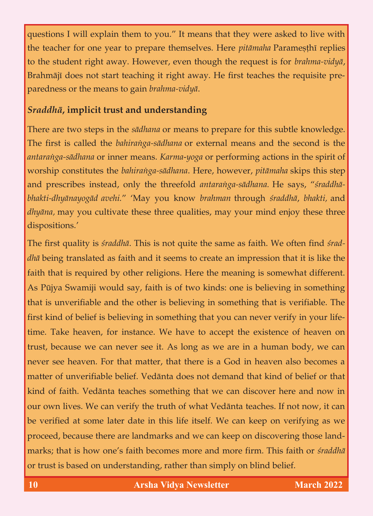questions I will explain them to you." It means that they were asked to live with the teacher for one year to prepare themselves. Here *pitāmaha* Paramesthī replies to the student right away. However, even though the request is for *brahma-vidya*, Brahmājī does not start teaching it right away. He first teaches the requisite pre-Brahmäjé does not start teaching it right away. He first teaches the requisite preparedness or the means to gain *brahma-vidyä*.

## *Sraddhä***, implicit trust and understanding**

There are two steps in the *sädhana* or means to prepare for this subtle knowledge. antaranga-sādhana or inner means. Karma-yoga or performing actions in the spirit of *worship constitutes the bahiranga-sādhana*. Here, however, *pitāmaha* skips this step and prescribes instead, only the threefold antaranga-sādhana. He says, "sraddhābhakti-dhyānayogād avehi." 'May you know brahman through śraddhā, bhakti, and *bhakti-dhyänayogäd avehi.*" 'May you know *brahman* through *çraddhä*, *bhakti,* and *dhyäna,* may you cultivate these three qualities, may your mind enjoy these three dispositions.'

The first quality is *śraddhā*. This is not quite the same as faith. We often find *śrad-dhā* being translated as faith and it seems to create an impression that it is like the faith that is required by other religions. Here the meaning is somewhat different. As Pūjya Swamiji would say, faith is of two kinds: one is believing in something that is unverifiable and the other is believing in something that is verifiable. The first kind of belief is believing in something that you can never verify in your lifetime. Take heaven, for instance. We have to accept the existence of heaven on trust, because we can never see it. As long as we are in a human body, we can trust, because we can never see it. As long as we can never see it. As long as we can human body, we can have  $\sigma$ never see heaven. For the that matter, that there is a God in heaven also becomes a God in heaven also becomes matter of unversion of unversion of the does not demand that kind of belief or the that kind of belief or that kind of faith teaches something that we can discover here and now in the something that we can discover  $\theta$ our own lives. We can verify the truth of what Vedänta teaches. If not now, it can be verified at some later date in this life itself. We can keep on verifying as we proceed, because there are landmarks and we can keep on discovering those landmarks; that is how one's faith becomes more and more firm. This faith or straddha marks; that is how one's faith becomes more and more firm. This faith or *çraddhä*  or trust is based on understanding,  $\frac{1}{2}$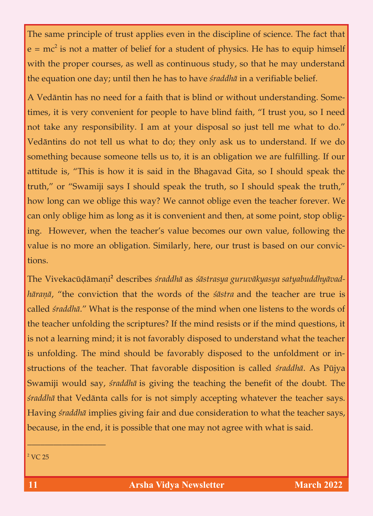The same principle of trust applies even in the discipline of the discipline of science. The fact that fact that fact that fact that  $\mathbf{r}$  $e = mc$ with the proper courses, as well as continuous study, so that he may understand the equation one day; until then he has to have *studdha* in a verifiable belief. the equation one day; until then he has to have *çraddhä* in a verifiable belief.

A Vedāntin has no need for a faith that is blind or without understanding. Some-<br>times, it is very convenient for people to have blind faith, "I trust you, so I need times, it is very convenient for people to have blind faith, "I trust you, so I need not take any responsibility. I am at your disposal so just tell me what to do." something because someone tells us to, it is an obligation we are fulfilling. If our attitude is, "This is how it is said in the Bhagavad Gita, so I should speak the truth," or "Swamiji says I should speak the truth, so I should speak the truth," truth," or "Swamiji says I should speak the truth," or "Swamiji says I should speak the truth," so I should sp how long can we oblige this way? We can not oblige this way? We can not oblige even the teacher forever. We can can only oblige him as long as it is convenient and then, at some point, stop oblig-<br>ing. However, when the teacher's value becomes our own value, following the  $\delta$  in the teacher's value becomes our own value becomes our own value  $\delta$ value is no more and  $\sigma$ tions.

The Vivekacūdāmaṇi<sup>2</sup> describes *śraddhā* as *śāstrasya guruvākyasya satyabuddhyāvad-hāranā*, "the conviction that the words of the *śāstra* and the teacher are true is *häraëä*, "the conviction that the words of the *çästra* and the teacher are true is called *çraddhä*." What is the response of the mind when one listens to the words of the teacher unit teacher unit the scriptures? If the mind resists or if the mind  $\mathbf{I}$  the mind  $\mathbf{I}$  $\delta$  learning mind; it is not favorably disposed to understand what the teacher the teachers is unfolding. The mind should be favorably disposed to the unfoldment or in-<br>structions of the teacher. That favorable disposition is called *śraddhā*. As Pūjya structions of the teacher. That favorable disposition is called *çraddhä*. As Püjya Swamiji would say, *śraddhā* is giving the teaching the benefit of the doubt. The *śraddhā* that Vedānta calls for is not simply accepting whatever the teacher says. *çraddhä* that Vedänta calls for is not simply accepting whatever the teacher says. Having *çraddhä* implies giving fair and due consideration to what the teacher says, because, in the end, it is possible that one may not agree with what is said.

 $\overline{\phantom{a}}$  , and the set of the set of the set of the set of the set of the set of the set of the set of the set of the set of the set of the set of the set of the set of the set of the set of the set of the set of the s

 $2 \text{VC} 25$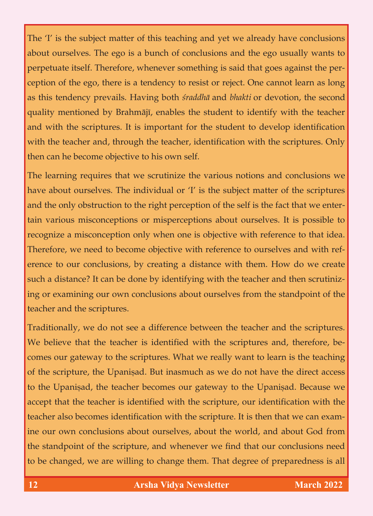The 'I' is the subject matter of this teaching and yet we already have conclusions about ourselves. The ego is a bunch of conclusions and the ego usually wants to perpetuate itself. Therefore, whenever something is said that goes against the perception of the ego, there is a tendency to resist or reject. One cannot learn as long ception of the ego, there is a tendency to resist or reject. One cannot learn as long as this tendency prevails. Having both *çraddhä* and *bhakti* or devotion, the second quality mentioned by Brahmājī, enables the student to identify with the teacher and with the scriptures. It is important for the student to develop identification and with the scriptures. It is important for the student to develop identification  $\mathbf{r}$ with the teacher and, through the teacher and, through the scriptures. Only the scriptures  $\mathbf{I}$ then can he become objective to his own self. Then we have to his own self. The self-

The learning requires that we scrutinize the various notions and conclusions we have about ourselves. The individual or 'I' is the subject matter of the scriptures and the only obstruction to the right perception of the self is the fact that we entertain various misconceptions or misperceptions about ourselves. It is possible to recognize a misconception only when one is objective with reference to that idea. Therefore, we need to become objective with reference to ourselves and with reference to our conclusions, by creating a distance with them. How do we create erence to our conclusions, by conclusions, by conclusions, by creating a distance with them. How do we can als  $\frac{1}{\sqrt{2}}$  is can be done by identifying with the teacher and then scrutinizes with the teacher and then scrutinizes with the teacher and the teacher and then scrutinizes with the teacher and then scrutinizes with the t  $\delta$  or examining our own conclusions about ourselves from the standard ourselves from the standard of the standard of the standard ourselves from the standard outside  $\delta$ teacher and the scriptures.

Traditionally, we do not see a difference between the teacher and the scriptures. The scriptures  $\mathbf{1}_{\mathbf{1}_{\{1,2\}}}$ We believe that the teacher is identified with the scriptures and, the scriptures and, therefore, becomes our gateway to the scriptures. What we really want to learn is the teaching of the scripture, the Upanisad. But inasmuch as we do not have the direct access to the Upanisad, the teacher becomes our gateway to the Upanisad. Because we  $\mathbf{L}_{\mathbf{L}}$  to the UPanishalid becomes our gateway to the Upanishalid  $\mathbf{L}_{\mathbf{L}}$ accept that the teacher is identified with the scripture, our identified with the scripture, our identified with the scripture,  $\frac{1}{2}$ teacher also becomes identification with the scripture. It is then that we can exam-<br>ine our own conclusions about ourselves, about the world, and about God from the standpoint of the scripture, and whenever we find that our conclusions need  $\mathbf{r}$  the standard point  $\mathbf{r}$  and whenever we find that our conclusions need that our conclusions need that our conclusions need that  $\mathbf{r}$  $\sigma$  be changed, we are  $\sigma$  to change them. The degree of preparedness is all prepared of prepared in  $\sigma$